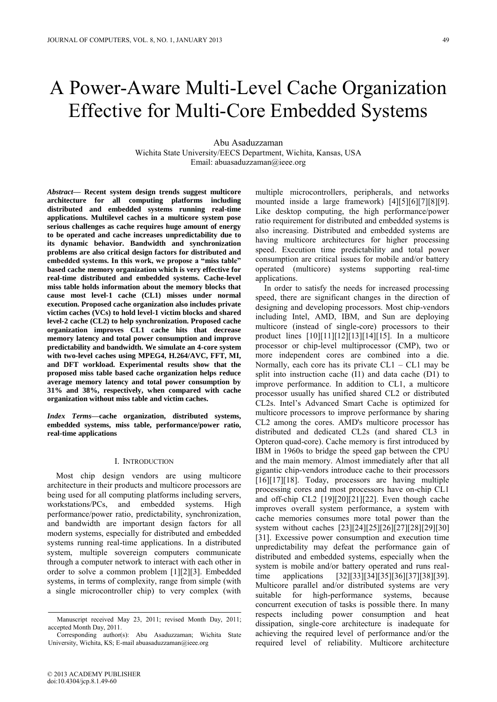# A Power-Aware Multi-Level Cache Organization Effective for Multi-Core Embedded Systems

Abu Asaduzzaman Wichita State University/EECS Department, Wichita, Kansas, USA Email: abuasaduzzaman@ieee.org

*Abstract***— Recent system design trends suggest multicore architecture for all computing platforms including distributed and embedded systems running real-time applications. Multilevel caches in a multicore system pose serious challenges as cache requires huge amount of energy to be operated and cache increases unpredictability due to its dynamic behavior. Bandwidth and synchronization problems are also critical design factors for distributed and embedded systems. In this work, we propose a "miss table" based cache memory organization which is very effective for real-time distributed and embedded systems. Cache-level miss table holds information about the memory blocks that cause most level-1 cache (CL1) misses under normal execution. Proposed cache organization also includes private victim caches (VCs) to hold level-1 victim blocks and shared level-2 cache (CL2) to help synchronization. Proposed cache organization improves CL1 cache hits that decrease memory latency and total power consumption and improve predictability and bandwidth. We simulate an 4-core system with two-level caches using MPEG4, H.264/AVC, FFT, MI, and DFT workload. Experimental results show that the proposed miss table based cache organization helps reduce average memory latency and total power consumption by 31% and 38%, respectively, when compared with cache organization without miss table and victim caches.**

*Index Terms***—cache organization, distributed systems, embedded systems, miss table, performance/power ratio, real-time applications**

# I. INTRODUCTION

Most chip design vendors are using multicore architecture in their products and multicore processors are being used for all computing platforms including servers, workstations/PCs, and embedded systems. High performance/power ratio, predictability, synchronization, and bandwidth are important design factors for all modern systems, especially for distributed and embedded systems running real-time applications. In a distributed system, multiple sovereign computers communicate through a computer network to interact with each other in order to solve a common problem [1][2][3]. Embedded systems, in terms of complexity, range from simple (with a single microcontroller chip) to very complex (with multiple microcontrollers, peripherals, and networks mounted inside a large framework) [4][5][6][7][8][9]. Like desktop computing, the high performance/power ratio requirement for distributed and embedded systems is also increasing. Distributed and embedded systems are having multicore architectures for higher processing speed. Execution time predictability and total power consumption are critical issues for mobile and/or battery operated (multicore) systems supporting real-time applications.

In order to satisfy the needs for increased processing speed, there are significant changes in the direction of designing and developing processors. Most chip-vendors including Intel, AMD, IBM, and Sun are deploying multicore (instead of single-core) processors to their product lines [10][11][12][13][14][15]. In a multicore processor or chip-level multiprocessor (CMP), two or more independent cores are combined into a die. Normally, each core has its private  $CL1 - CL1$  may be split into instruction cache (I1) and data cache (D1) to improve performance. In addition to CL1, a multicore processor usually has unified shared CL2 or distributed CL2s. Intel's Advanced Smart Cache is optimized for multicore processors to improve performance by sharing CL2 among the cores. AMD's multicore processor has distributed and dedicated CL2s (and shared CL3 in Opteron quad-core). Cache memory is first introduced by IBM in 1960s to bridge the speed gap between the CPU and the main memory. Almost immediately after that all gigantic chip-vendors introduce cache to their processors [16][17][18]. Today, processors are having multiple processing cores and most processors have on-chip CL1 and off-chip CL2 [19][20][21][22]. Even though cache improves overall system performance, a system with cache memories consumes more total power than the system without caches [23][24][25][26][27][28][29][30] [31]. Excessive power consumption and execution time unpredictability may defeat the performance gain of distributed and embedded systems, especially when the system is mobile and/or battery operated and runs realtime applications [32][33][34][35][36][37][38][39]. Multicore parallel and/or distributed systems are very suitable for high-performance systems, because concurrent execution of tasks is possible there. In many respects including power consumption and heat dissipation, single-core architecture is inadequate for achieving the required level of performance and/or the required level of reliability. Multicore architecture

Manuscript received May 23, 2011; revised Month Day, 2011; accepted Month Day, 2011.

Corresponding author(s): Abu Asaduzzaman; Wichita State University, Wichita, KS; E-mail abuasaduzzaman@ieee.org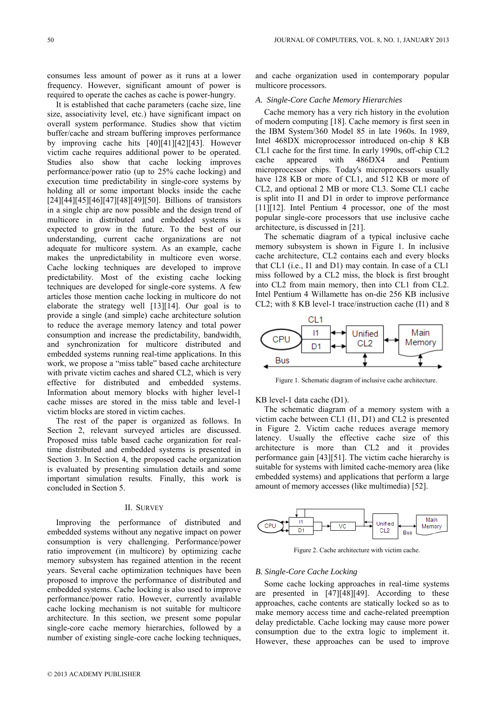consumes less amount of power as it runs at a lower frequency. However, significant amount of power is required to operate the caches as cache is power-hungry.

It is established that cache parameters (cache size, line size, associativity level, etc.) have significant impact on overall system performance. Studies show that victim buffer/cache and stream buffering improves performance by improving cache hits [40][41][42][43]. However victim cache requires additional power to be operated. Studies also show that cache locking improves performance/power ratio (up to 25% cache locking) and execution time predictability in single-core systems by holding all or some important blocks inside the cache [24][44][45][46][47][48][49][50]. Billions of transistors in a single chip are now possible and the design trend of multicore in distributed and embedded systems is expected to grow in the future. To the best of our understanding, current cache organizations are not adequate for multicore system. As an example, cache makes the unpredictability in multicore even worse. Cache locking techniques are developed to improve predictability. Most of the existing cache locking techniques are developed for single-core systems. A few articles those mention cache locking in multicore do not elaborate the strategy well [13][14]. Our goal is to provide a single (and simple) cache architecture solution to reduce the average memory latency and total power consumption and increase the predictability, bandwidth, and synchronization for multicore distributed and embedded systems running real-time applications. In this work, we propose a "miss table" based cache architecture with private victim caches and shared CL2, which is very effective for distributed and embedded systems. Information about memory blocks with higher level-1 cache misses are stored in the miss table and level-1 victim blocks are stored in victim caches.

The rest of the paper is organized as follows. In Section 2, relevant surveyed articles are discussed. Proposed miss table based cache organization for realtime distributed and embedded systems is presented in Section 3. In Section 4, the proposed cache organization is evaluated by presenting simulation details and some important simulation results. Finally, this work is concluded in Section 5.

### II. SURVEY

Improving the performance of distributed and embedded systems without any negative impact on power consumption is very challenging. Performance/power ratio improvement (in multicore) by optimizing cache memory subsystem has regained attention in the recent years. Several cache optimization techniques have been proposed to improve the performance of distributed and embedded systems. Cache locking is also used to improve performance/power ratio. However, currently available cache locking mechanism is not suitable for multicore architecture. In this section, we present some popular single-core cache memory hierarchies, followed by a number of existing single-core cache locking techniques,

© 2013 ACADEMY PUBLISHER

and cache organization used in contemporary popular multicore processors.

# *A. Single-Core Cache Memory Hierarchies*

Cache memory has a very rich history in the evolution of modern computing [18]. Cache memory is first seen in the IBM System/360 Model 85 in late 1960s. In 1989, Intel 468DX microprocessor introduced on-chip 8 KB CL1 cache for the first time. In early 1990s, off-chip CL2 cache appeared with 486DX4 and Pentium microprocessor chips. Today's microprocessors usually have 128 KB or more of CL1, and 512 KB or more of CL2, and optional 2 MB or more CL3. Some CL1 cache is split into I1 and D1 in order to improve performance [11][12]. Intel Pentium 4 processor, one of the most popular single-core processors that use inclusive cache architecture, is discussed in [21].

The schematic diagram of a typical inclusive cache memory subsystem is shown in Figure 1. In inclusive cache architecture, CL2 contains each and every blocks that CL1 (i.e., I1 and D1) may contain. In case of a CL1 miss followed by a CL2 miss, the block is first brought into CL2 from main memory, then into CL1 from CL2. Intel Pentium 4 Willamette has on-die 256 KB inclusive CL2; with 8 KB level-1 trace/instruction cache (I1) and 8



Figure 1. Schematic diagram of inclusive cache architecture.

KB level-1 data cache (D1).

The schematic diagram of a memory system with a victim cache between CL1 (I1, D1) and CL2 is presented in Figure 2. Victim cache reduces average memory latency. Usually the effective cache size of this architecture is more than CL2 and it provides performance gain [43][51]. The victim cache hierarchy is suitable for systems with limited cache-memory area (like embedded systems) and applications that perform a large amount of memory accesses (like multimedia) [52].



Figure 2. Cache architecture with victim cache.

# *B. Single-Core Cache Locking*

Some cache locking approaches in real-time systems are presented in [47][48][49]. According to these approaches, cache contents are statically locked so as to make memory access time and cache-related preemption delay predictable. Cache locking may cause more power consumption due to the extra logic to implement it. However, these approaches can be used to improve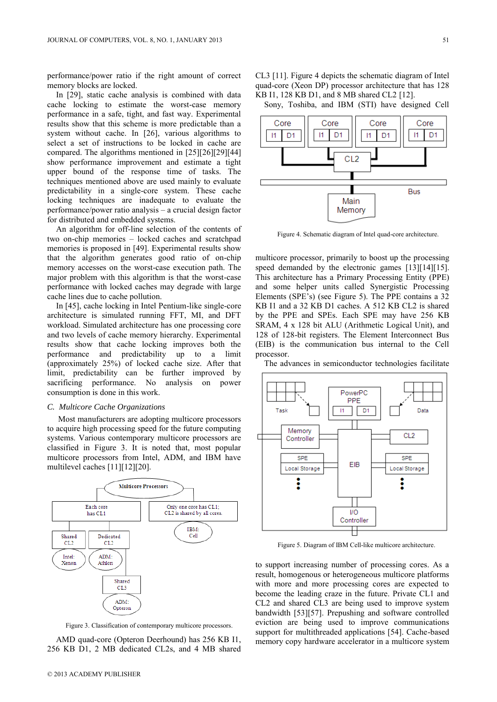performance/power ratio if the right amount of correct memory blocks are locked.

In [29], static cache analysis is combined with data cache locking to estimate the worst-case memory performance in a safe, tight, and fast way. Experimental results show that this scheme is more predictable than a system without cache. In [26], various algorithms to select a set of instructions to be locked in cache are compared. The algorithms mentioned in [25][26][29][44] show performance improvement and estimate a tight upper bound of the response time of tasks. The techniques mentioned above are used mainly to evaluate predictability in a single-core system. These cache locking techniques are inadequate to evaluate the performance/power ratio analysis – a crucial design factor for distributed and embedded systems.

An algorithm for off-line selection of the contents of two on-chip memories – locked caches and scratchpad memories is proposed in [49]. Experimental results show that the algorithm generates good ratio of on-chip memory accesses on the worst-case execution path. The major problem with this algorithm is that the worst-case performance with locked caches may degrade with large cache lines due to cache pollution.

In [45], cache locking in Intel Pentium-like single-core architecture is simulated running FFT, MI, and DFT workload. Simulated architecture has one processing core and two levels of cache memory hierarchy. Experimental results show that cache locking improves both the performance and predictability up to a limit (approximately 25%) of locked cache size. After that limit, predictability can be further improved by sacrificing performance. No analysis on power consumption is done in this work.

## *C. Multicore Cache Organizations*

Most manufacturers are adopting multicore processors to acquire high processing speed for the future computing systems. Various contemporary multicore processors are classified in Figure 3. It is noted that, most popular multicore processors from Intel, ADM, and IBM have multilevel caches [11][12][20].



Figure 3. Classification of contemporary multicore processors.

AMD quad-core (Opteron Deerhound) has 256 KB I1, 256 KB D1, 2 MB dedicated CL2s, and 4 MB shared CL3 [11]. Figure 4 depicts the schematic diagram of Intel quad-core (Xeon DP) processor architecture that has 128 KB I1, 128 KB D1, and 8 MB shared CL2 [12].

Sony, Toshiba, and IBM (STI) have designed Cell



Figure 4. Schematic diagram of Intel quad-core architecture.

multicore processor, primarily to boost up the processing speed demanded by the electronic games [13][14][15]. This architecture has a Primary Processing Entity (PPE) and some helper units called Synergistic Processing Elements (SPE's) (see Figure 5). The PPE contains a 32 KB I1 and a 32 KB D1 caches. A 512 KB CL2 is shared by the PPE and SPEs. Each SPE may have 256 KB SRAM, 4 x 128 bit ALU (Arithmetic Logical Unit), and 128 of 128-bit registers. The Element Interconnect Bus (EIB) is the communication bus internal to the Cell processor.

The advances in semiconductor technologies facilitate



Figure 5. Diagram of IBM Cell-like multicore architecture.

to support increasing number of processing cores. As a result, homogenous or heterogeneous multicore platforms with more and more processing cores are expected to become the leading craze in the future. Private CL1 and CL2 and shared CL3 are being used to improve system bandwidth [53][57]. Prepushing and software controlled eviction are being used to improve communications support for multithreaded applications [54]. Cache-based memory copy hardware accelerator in a multicore system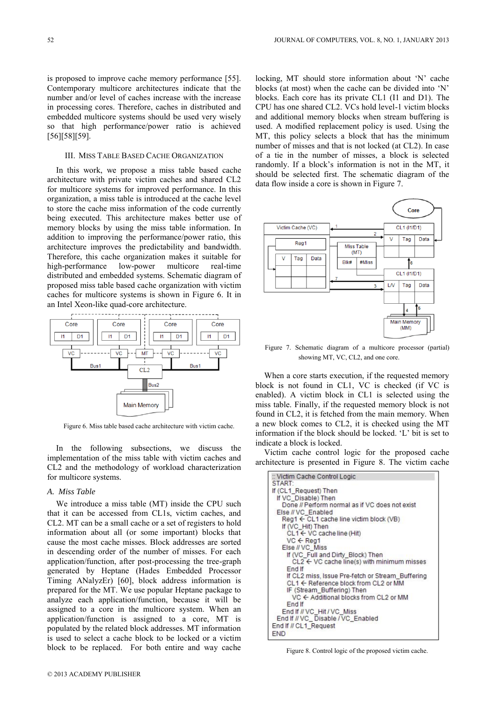is proposed to improve cache memory performance [55]. Contemporary multicore architectures indicate that the number and/or level of caches increase with the increase in processing cores. Therefore, caches in distributed and embedded multicore systems should be used very wisely so that high performance/power ratio is achieved [56][58][59].

## III. MISS TABLE BASED CACHE ORGANIZATION

In this work, we propose a miss table based cache architecture with private victim caches and shared CL2 for multicore systems for improved performance. In this organization, a miss table is introduced at the cache level to store the cache miss information of the code currently being executed. This architecture makes better use of memory blocks by using the miss table information. In addition to improving the performance/power ratio, this architecture improves the predictability and bandwidth. Therefore, this cache organization makes it suitable for high-performance low-power multicore real-time distributed and embedded systems. Schematic diagram of proposed miss table based cache organization with victim caches for multicore systems is shown in Figure 6. It in an Intel Xeon-like quad-core architecture.



Figure 6. Miss table based cache architecture with victim cache.

In the following subsections, we discuss the implementation of the miss table with victim caches and CL2 and the methodology of workload characterization for multicore systems.

# *A. Miss Table*

We introduce a miss table (MT) inside the CPU such that it can be accessed from CL1s, victim caches, and CL2. MT can be a small cache or a set of registers to hold information about all (or some important) blocks that cause the most cache misses. Block addresses are sorted in descending order of the number of misses. For each application/function, after post-processing the tree-graph generated by Heptane (Hades Embedded Processor Timing ANalyzEr) [60], block address information is prepared for the MT. We use popular Heptane package to analyze each application/function, because it will be assigned to a core in the multicore system. When an application/function is assigned to a core, MT is populated by the related block addresses. MT information is used to select a cache block to be locked or a victim block to be replaced. For both entire and way cache

locking, MT should store information about 'N' cache blocks (at most) when the cache can be divided into 'N' blocks. Each core has its private CL1 (I1 and D1). The CPU has one shared CL2. VCs hold level-1 victim blocks and additional memory blocks when stream buffering is used. A modified replacement policy is used. Using the MT, this policy selects a block that has the minimum number of misses and that is not locked (at CL2). In case of a tie in the number of misses, a block is selected randomly. If a block's information is not in the MT, it should be selected first. The schematic diagram of the data flow inside a core is shown in Figure 7.



Figure 7. Schematic diagram of a multicore processor (partial) showing MT, VC, CL2, and one core.

When a core starts execution, if the requested memory block is not found in CL1, VC is checked (if VC is enabled). A victim block in CL1 is selected using the miss table. Finally, if the requested memory block is not found in CL2, it is fetched from the main memory. When a new block comes to CL2, it is checked using the MT information if the block should be locked. 'L' bit is set to indicate a block is locked.

Victim cache control logic for the proposed cache architecture is presented in Figure 8. The victim cache

| :: Victim Cache Control Logic                                    |
|------------------------------------------------------------------|
| START:                                                           |
| If (CL1 Request) Then                                            |
| If VC Disable) Then                                              |
| Done // Perform normal as if VC does not exist                   |
| Else // VC Enabled                                               |
| $\text{Reg1} \leftarrow \text{CL1}$ cache line victim block (VB) |
| If (VC Hit) Then                                                 |
| $CL1 \leftarrow VC$ cache line (Hit)                             |
| $VC \leftarrow$ Reg1                                             |
| Else // VC Miss                                                  |
| If (VC_Full and Dirty_Block) Then                                |
| $CL2 \leftarrow VC$ cache line(s) with minimum misses            |
| End If                                                           |
| If CL2 miss, Issue Pre-fetch or Stream Buffering                 |
| CL1 ← Reference block from CL2 or MM                             |
| IF (Stream Buffering) Then                                       |
| VC ← Additional blocks from CL2 or MM                            |
| End If                                                           |
| End If // VC Hit / VC Miss                                       |
| End If // VC_Disable / VC_Enabled                                |
| End If // CL1_Request                                            |
| END                                                              |

Figure 8. Control logic of the proposed victim cache.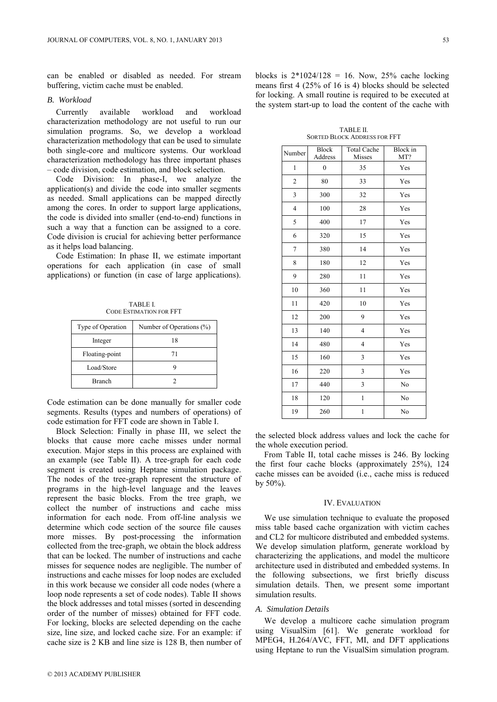can be enabled or disabled as needed. For stream buffering, victim cache must be enabled.

#### *B. Workload*

Currently available workload and workload characterization methodology are not useful to run our simulation programs. So, we develop a workload characterization methodology that can be used to simulate both single-core and multicore systems. Our workload characterization methodology has three important phases – code division, code estimation, and block selection.

Code Division: In phase-I, we analyze the application(s) and divide the code into smaller segments as needed. Small applications can be mapped directly among the cores. In order to support large applications, the code is divided into smaller (end-to-end) functions in such a way that a function can be assigned to a core. Code division is crucial for achieving better performance as it helps load balancing.

Code Estimation: In phase II, we estimate important operations for each application (in case of small applications) or function (in case of large applications).

TABLE I. CODE ESTIMATION FOR FFT

| Type of Operation | Number of Operations (%) |
|-------------------|--------------------------|
| Integer           | 18                       |
| Floating-point    | 71                       |
| Load/Store        |                          |
| <b>Branch</b>     |                          |

Code estimation can be done manually for smaller code segments. Results (types and numbers of operations) of code estimation for FFT code are shown in Table I.

Block Selection: Finally in phase III, we select the blocks that cause more cache misses under normal execution. Major steps in this process are explained with an example (see Table II). A tree-graph for each code segment is created using Heptane simulation package. The nodes of the tree-graph represent the structure of programs in the high-level language and the leaves represent the basic blocks. From the tree graph, we collect the number of instructions and cache miss information for each node. From off-line analysis we determine which code section of the source file causes more misses. By post-processing the information collected from the tree-graph, we obtain the block address that can be locked. The number of instructions and cache misses for sequence nodes are negligible. The number of instructions and cache misses for loop nodes are excluded in this work because we consider all code nodes (where a loop node represents a set of code nodes). Table II shows the block addresses and total misses (sorted in descending order of the number of misses) obtained for FFT code. For locking, blocks are selected depending on the cache size, line size, and locked cache size. For an example: if cache size is 2 KB and line size is 128 B, then number of blocks is  $2*1024/128 = 16$ . Now,  $25%$  cache locking means first 4 (25% of 16 is 4) blocks should be selected for locking. A small routine is required to be executed at the system start-up to load the content of the cache with

TABLE II. SORTED BLOCK ADDRESS FOR FFT

| Number         | <b>Block</b><br>Address | <b>Total Cache</b><br>Misses | <b>Block</b> in<br>MT? |
|----------------|-------------------------|------------------------------|------------------------|
| 1              | $\overline{0}$          | 35                           | Yes                    |
| $\overline{c}$ | 80                      | 33                           | Yes                    |
| 3              | 300                     | 32                           | Yes                    |
| 4              | 100                     | 28                           | Yes                    |
| 5              | 400                     | 17                           | Yes                    |
| 6              | 320                     | 15                           | Yes                    |
| 7              | 380                     | 14                           | Yes                    |
| 8              | 180                     | 12                           | Yes                    |
| 9              | 280                     | 11                           | Yes                    |
| 10             | 360                     | 11                           | Yes                    |
| 11             | 420                     | 10                           | Yes                    |
| 12             | 200                     | 9                            | Yes                    |
| 13             | 140                     | $\overline{4}$               | Yes                    |
| 14             | 480                     | 4                            | Yes                    |
| 15             | 160                     | 3                            | Yes                    |
| 16             | 220                     | 3                            | Yes                    |
| 17             | 440                     | 3                            | No                     |
| 18             | 120                     | $\mathbf{1}$                 | No                     |
| 19             | 260                     | 1                            | No                     |

the selected block address values and lock the cache for the whole execution period.

From Table II, total cache misses is 246. By locking the first four cache blocks (approximately 25%), 124 cache misses can be avoided (i.e., cache miss is reduced by  $50\%$ ).

#### IV. EVALUATION

We use simulation technique to evaluate the proposed miss table based cache organization with victim caches and CL2 for multicore distributed and embedded systems. We develop simulation platform, generate workload by characterizing the applications, and model the multicore architecture used in distributed and embedded systems. In the following subsections, we first briefly discuss simulation details. Then, we present some important simulation results.

#### *A. Simulation Details*

We develop a multicore cache simulation program using VisualSim [61]. We generate workload for MPEG4, H.264/AVC, FFT, MI, and DFT applications using Heptane to run the VisualSim simulation program.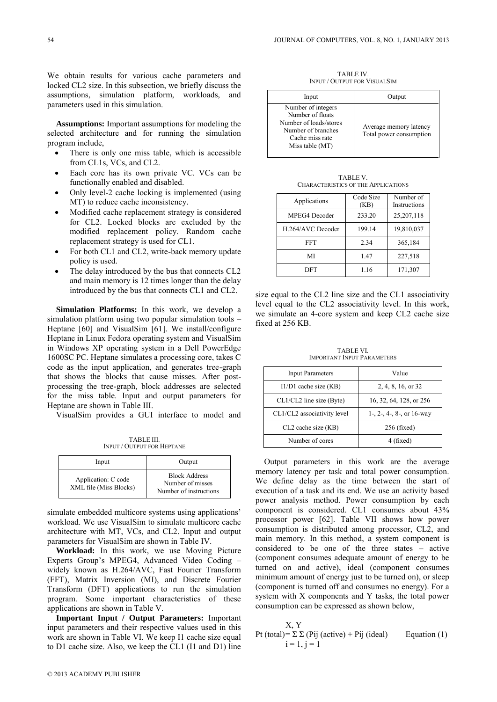We obtain results for various cache parameters and locked CL2 size. In this subsection, we briefly discuss the assumptions, simulation platform, workloads, and parameters used in this simulation.

**Assumptions:** Important assumptions for modeling the selected architecture and for running the simulation program include,

- There is only one miss table, which is accessible from CL1s, VCs, and CL2.
- Each core has its own private VC. VCs can be functionally enabled and disabled.
- Only level-2 cache locking is implemented (using MT) to reduce cache inconsistency.
- Modified cache replacement strategy is considered for CL2. Locked blocks are excluded by the modified replacement policy. Random cache replacement strategy is used for CL1.
- For both CL1 and CL2, write-back memory update policy is used.
- The delay introduced by the bus that connects CL2 and main memory is 12 times longer than the delay introduced by the bus that connects CL1 and CL2.

**Simulation Platforms:** In this work, we develop a simulation platform using two popular simulation tools – Heptane [60] and VisualSim [61]. We install/configure Heptane in Linux Fedora operating system and VisualSim in Windows XP operating system in a Dell PowerEdge 1600SC PC. Heptane simulates a processing core, takes C code as the input application, and generates tree-graph that shows the blocks that cause misses. After postprocessing the tree-graph, block addresses are selected for the miss table. Input and output parameters for Heptane are shown in Table III.

VisualSim provides a GUI interface to model and

TABLE III. INPUT / OUTPUT FOR HEPTANE

| Input                                         | Output                                                             |
|-----------------------------------------------|--------------------------------------------------------------------|
| Application: C code<br>XML file (Miss Blocks) | <b>Block Address</b><br>Number of misses<br>Number of instructions |

simulate embedded multicore systems using applications' workload. We use VisualSim to simulate multicore cache architecture with MT, VCs, and CL2. Input and output parameters for VisualSim are shown in Table IV.

**Workload:** In this work, we use Moving Picture Experts Group's MPEG4, Advanced Video Coding – widely known as H.264/AVC, Fast Fourier Transform (FFT), Matrix Inversion (MI), and Discrete Fourier Transform (DFT) applications to run the simulation program. Some important characteristics of these applications are shown in Table V.

**Important Input / Output Parameters:** Important input parameters and their respective values used in this work are shown in Table VI. We keep I1 cache size equal to D1 cache size. Also, we keep the CL1 (I1 and D1) line

TARI F IV. INPUT / OUTPUT FOR VISUALSIM

| Input                                                                                                                        | Output                                            |
|------------------------------------------------------------------------------------------------------------------------------|---------------------------------------------------|
| Number of integers<br>Number of floats<br>Number of loads/stores<br>Number of branches<br>Cache miss rate<br>Miss table (MT) | Average memory latency<br>Total power consumption |

TABLE V. CHARACTERISTICS OF THE APPLICATIONS

| Applications      | Code Size<br>(KB) | Number of<br>Instructions |
|-------------------|-------------------|---------------------------|
| MPEG4 Decoder     | 233.20            | 25,207,118                |
| H.264/AVC Decoder | 199.14            | 19,810,037                |
| <b>FFT</b>        | 2.34              | 365,184                   |
| MI                | 1.47              | 227,518                   |
| DFT               | 1.16              | 171,307                   |

size equal to the CL2 line size and the CL1 associativity level equal to the CL2 associativity level. In this work, we simulate an 4-core system and keep CL2 cache size fixed at 256 KB.

TABLE VI. IMPORTANT INPUT PARAMETERS

| <b>Input Parameters</b>     | Value                     |  |
|-----------------------------|---------------------------|--|
| $I1/D1$ cache size (KB)     | 2, 4, 8, 16, or 32        |  |
| $CL1/CL2$ line size (Byte)  | 16, 32, 64, 128, or 256   |  |
| CL1/CL2 associativity level | 1-, 2-, 4-, 8-, or 16-way |  |
| CL2 cache size (KB)         | $256$ (fixed)             |  |
| Number of cores             | (fixed)                   |  |

Output parameters in this work are the average memory latency per task and total power consumption. We define delay as the time between the start of execution of a task and its end. We use an activity based power analysis method. Power consumption by each component is considered. CL1 consumes about 43% processor power [62]. Table VII shows how power consumption is distributed among processor, CL2, and main memory. In this method, a system component is considered to be one of the three states – active (component consumes adequate amount of energy to be turned on and active), ideal (component consumes minimum amount of energy just to be turned on), or sleep (component is turned off and consumes no energy). For a system with X components and Y tasks, the total power consumption can be expressed as shown below,

X, Y  
Pt (total)= 
$$
\Sigma \Sigma
$$
 (Pij (active) + Pij (ideal) Equation (1)  
i = 1, j = 1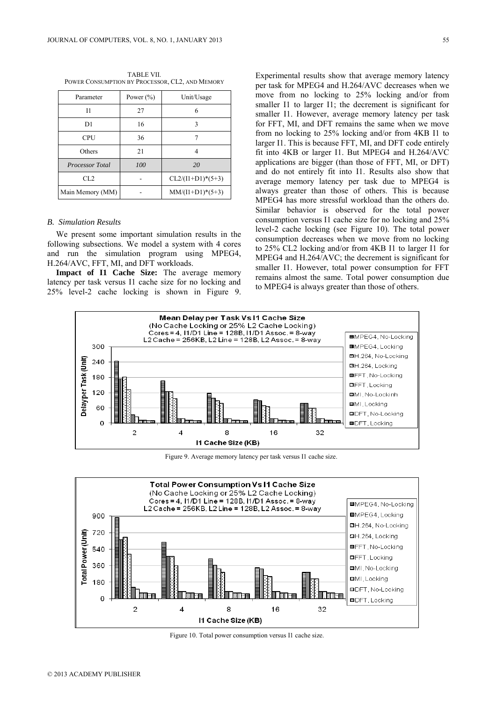| TABLE VII.                                      |  |
|-------------------------------------------------|--|
| POWER CONSUMPTION BY PROCESSOR, CL2, AND MEMORY |  |

| Parameter              | Power $(\% )$ | Unit/Usage          |  |
|------------------------|---------------|---------------------|--|
| Ī1                     | 27            | 6                   |  |
| D1                     | 16            | ٩                   |  |
| <b>CPU</b>             | 36            |                     |  |
| Others                 | 21            |                     |  |
| <b>Processor Total</b> | 100           | 20                  |  |
| CL <sub>2</sub>        |               | $CL2/(I1+D1)*(5+3)$ |  |
| Main Memory (MM)       |               | $MM/(I1+D1)*(5+3)$  |  |

# *B. Simulation Results*

We present some important simulation results in the following subsections. We model a system with 4 cores and run the simulation program using MPEG4, H.264/AVC, FFT, MI, and DFT workloads.

**Impact of I1 Cache Size:** The average memory latency per task versus I1 cache size for no locking and 25% level-2 cache locking is shown in Figure 9. Experimental results show that average memory latency per task for MPEG4 and H.264/AVC decreases when we move from no locking to 25% locking and/or from smaller I1 to larger I1; the decrement is significant for smaller I1. However, average memory latency per task for FFT, MI, and DFT remains the same when we move from no locking to 25% locking and/or from 4KB I1 to larger I1. This is because FFT, MI, and DFT code entirely fit into 4KB or larger I1. But MPEG4 and H.264/AVC applications are bigger (than those of FFT, MI, or DFT) and do not entirely fit into I1. Results also show that average memory latency per task due to MPEG4 is always greater than those of others. This is because MPEG4 has more stressful workload than the others do. Similar behavior is observed for the total power consumption versus I1 cache size for no locking and 25% level-2 cache locking (see Figure 10). The total power consumption decreases when we move from no locking to 25% CL2 locking and/or from 4KB I1 to larger I1 for MPEG4 and H.264/AVC; the decrement is significant for smaller I1. However, total power consumption for FFT remains almost the same. Total power consumption due to MPEG4 is always greater than those of others.



Figure 9. Average memory latency per task versus I1 cache size.



Figure 10. Total power consumption versus I1 cache size.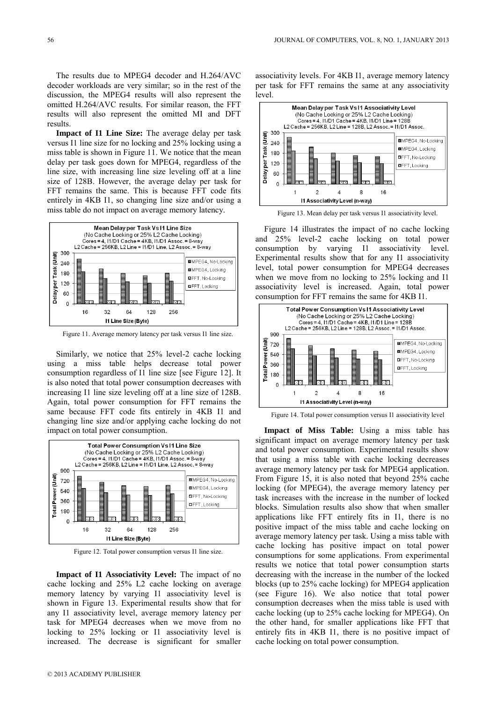The results due to MPEG4 decoder and H.264/AVC decoder workloads are very similar; so in the rest of the discussion, the MPEG4 results will also represent the omitted H.264/AVC results. For similar reason, the FFT results will also represent the omitted MI and DFT results.

**Impact of I1 Line Size:** The average delay per task versus I1 line size for no locking and 25% locking using a miss table is shown in Figure 11. We notice that the mean delay per task goes down for MPEG4, regardless of the line size, with increasing line size leveling off at a line size of 128B. However, the average delay per task for FFT remains the same. This is because FFT code fits entirely in 4KB I1, so changing line size and/or using a miss table do not impact on average memory latency.



Figure 11. Average memory latency per task versus I1 line size.

Similarly, we notice that 25% level-2 cache locking using a miss table helps decrease total power consumption regardless of I1 line size [see Figure 12]. It is also noted that total power consumption decreases with increasing I1 line size leveling off at a line size of 128B. Again, total power consumption for FFT remains the same because FFT code fits entirely in 4KB I1 and changing line size and/or applying cache locking do not impact on total power consumption.



Figure 12. Total power consumption versus I1 line size.

**Impact of I1 Associativity Level:** The impact of no cache locking and 25% L2 cache locking on average memory latency by varying I1 associativity level is shown in Figure 13. Experimental results show that for any I1 associativity level, average memory latency per task for MPEG4 decreases when we move from no locking to 25% locking or I1 associativity level is increased. The decrease is significant for smaller associativity levels. For 4KB I1, average memory latency per task for FFT remains the same at any associativity level.



Figure 13. Mean delay per task versus I1 associativity level.

Figure 14 illustrates the impact of no cache locking and 25% level-2 cache locking on total power consumption by varying I1 associativity level. Experimental results show that for any I1 associativity level, total power consumption for MPEG4 decreases when we move from no locking to 25% locking and I1 associativity level is increased. Again, total power consumption for FFT remains the same for 4KB I1.



Figure 14. Total power consumption versus I1 associativity level

**Impact of Miss Table:** Using a miss table has significant impact on average memory latency per task and total power consumption. Experimental results show that using a miss table with cache locking decreases average memory latency per task for MPEG4 application. From Figure 15, it is also noted that beyond 25% cache locking (for MPEG4), the average memory latency per task increases with the increase in the number of locked blocks. Simulation results also show that when smaller applications like FFT entirely fits in I1, there is no positive impact of the miss table and cache locking on average memory latency per task. Using a miss table with cache locking has positive impact on total power consumptions for some applications. From experimental results we notice that total power consumption starts decreasing with the increase in the number of the locked blocks (up to 25% cache locking) for MPEG4 application (see Figure 16). We also notice that total power consumption decreases when the miss table is used with cache locking (up to 25% cache locking for MPEG4). On the other hand, for smaller applications like FFT that entirely fits in 4KB I1, there is no positive impact of cache locking on total power consumption.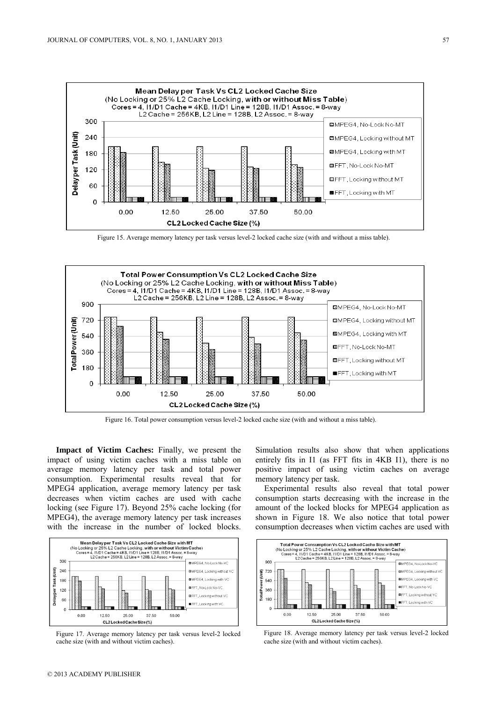

Figure 15. Average memory latency per task versus level-2 locked cache size (with and without a miss table).



Figure 16. Total power consumption versus level-2 locked cache size (with and without a miss table).

**Impact of Victim Caches:** Finally, we present the impact of using victim caches with a miss table on average memory latency per task and total power consumption. Experimental results reveal that for MPEG4 application, average memory latency per task decreases when victim caches are used with cache locking (see Figure 17). Beyond 25% cache locking (for MPEG4), the average memory latency per task increases with the increase in the number of locked blocks.



Figure 17. Average memory latency per task versus level-2 locked cache size (with and without victim caches).

Simulation results also show that when applications entirely fits in I1 (as FFT fits in 4KB I1), there is no positive impact of using victim caches on average memory latency per task.

Experimental results also reveal that total power consumption starts decreasing with the increase in the amount of the locked blocks for MPEG4 application as shown in Figure 18. We also notice that total power consumption decreases when victim caches are used with



Figure 18. Average memory latency per task versus level-2 locked cache size (with and without victim caches).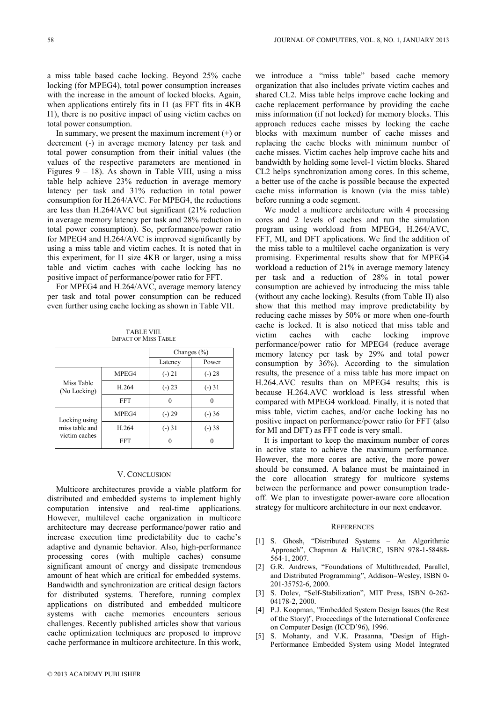a miss table based cache locking. Beyond 25% cache locking (for MPEG4), total power consumption increases with the increase in the amount of locked blocks. Again, when applications entirely fits in I1 (as FFT fits in 4KB I1), there is no positive impact of using victim caches on total power consumption.

In summary, we present the maximum increment  $(+)$  or decrement (-) in average memory latency per task and total power consumption from their initial values (the values of the respective parameters are mentioned in Figures  $9 - 18$ ). As shown in Table VIII, using a miss table help achieve 23% reduction in average memory latency per task and 31% reduction in total power consumption for H.264/AVC. For MPEG4, the reductions are less than H.264/AVC but significant (21% reduction in average memory latency per task and 28% reduction in total power consumption). So, performance/power ratio for MPEG4 and H.264/AVC is improved significantly by using a miss table and victim caches. It is noted that in this experiment, for I1 size 4KB or larger, using a miss table and victim caches with cache locking has no positive impact of performance/power ratio for FFT.

For MPEG4 and H.264/AVC, average memory latency per task and total power consumption can be reduced even further using cache locking as shown in Table VII.

| <b>TABLE VIII.</b>          |
|-----------------------------|
| <b>IMPACT OF MISS TABLE</b> |

|                                                  |            | Changes $(\% )$ |          |
|--------------------------------------------------|------------|-----------------|----------|
|                                                  |            | Latency         | Power    |
|                                                  | MPEG4      | $(-) 21$        | $(-) 28$ |
| Miss Table<br>(No Locking)                       | H.264      | $(-) 23$        | $(-)31$  |
|                                                  | <b>FFT</b> | 0               |          |
| Locking using<br>miss table and<br>victim caches | MPEG4      | $(-) 29$        | $(-)36$  |
|                                                  | H.264      | $(-)31$         | $(-)38$  |
|                                                  | FFT        |                 |          |

#### V. CONCLUSION

Multicore architectures provide a viable platform for distributed and embedded systems to implement highly computation intensive and real-time applications. However, multilevel cache organization in multicore architecture may decrease performance/power ratio and increase execution time predictability due to cache's adaptive and dynamic behavior. Also, high-performance processing cores (with multiple caches) consume significant amount of energy and dissipate tremendous amount of heat which are critical for embedded systems. Bandwidth and synchronization are critical design factors for distributed systems. Therefore, running complex applications on distributed and embedded multicore systems with cache memories encounters serious challenges. Recently published articles show that various cache optimization techniques are proposed to improve cache performance in multicore architecture. In this work, we introduce a "miss table" based cache memory organization that also includes private victim caches and shared CL2. Miss table helps improve cache locking and cache replacement performance by providing the cache miss information (if not locked) for memory blocks. This approach reduces cache misses by locking the cache blocks with maximum number of cache misses and replacing the cache blocks with minimum number of cache misses. Victim caches help improve cache hits and bandwidth by holding some level-1 victim blocks. Shared CL2 helps synchronization among cores. In this scheme, a better use of the cache is possible because the expected cache miss information is known (via the miss table) before running a code segment.

We model a multicore architecture with 4 processing cores and 2 levels of caches and run the simulation program using workload from MPEG4, H.264/AVC, FFT, MI, and DFT applications. We find the addition of the miss table to a multilevel cache organization is very promising. Experimental results show that for MPEG4 workload a reduction of 21% in average memory latency per task and a reduction of 28% in total power consumption are achieved by introducing the miss table (without any cache locking). Results (from Table II) also show that this method may improve predictability by reducing cache misses by 50% or more when one-fourth cache is locked. It is also noticed that miss table and victim caches with cache locking improve performance/power ratio for MPEG4 (reduce average memory latency per task by 29% and total power consumption by 36%). According to the simulation results, the presence of a miss table has more impact on H.264.AVC results than on MPEG4 results; this is because H.264.AVC workload is less stressful when compared with MPEG4 workload. Finally, it is noted that miss table, victim caches, and/or cache locking has no positive impact on performance/power ratio for FFT (also for MI and DFT) as FFT code is very small.

It is important to keep the maximum number of cores in active state to achieve the maximum performance. However, the more cores are active, the more power should be consumed. A balance must be maintained in the core allocation strategy for multicore systems between the performance and power consumption tradeoff. We plan to investigate power-aware core allocation strategy for multicore architecture in our next endeavor.

#### **REFERENCES**

- [1] S. Ghosh, "Distributed Systems An Algorithmic Approach", Chapman & Hall/CRC, ISBN 978-1-58488- 564-1, 2007.
- [2] G.R. Andrews, "Foundations of Multithreaded, Parallel, and Distributed Programming", Addison–Wesley, ISBN 0- 201-35752-6, 2000.
- [3] S. Dolev, "Self-Stabilization", MIT Press, ISBN 0-262- 04178-2, 2000.
- [4] P.J. Koopman, "Embedded System Design Issues (the Rest of the Story)", Proceedings of the International Conference on Computer Design (ICCD'96), 1996.
- [5] S. Mohanty, and V.K. Prasanna, "Design of High-Performance Embedded System using Model Integrated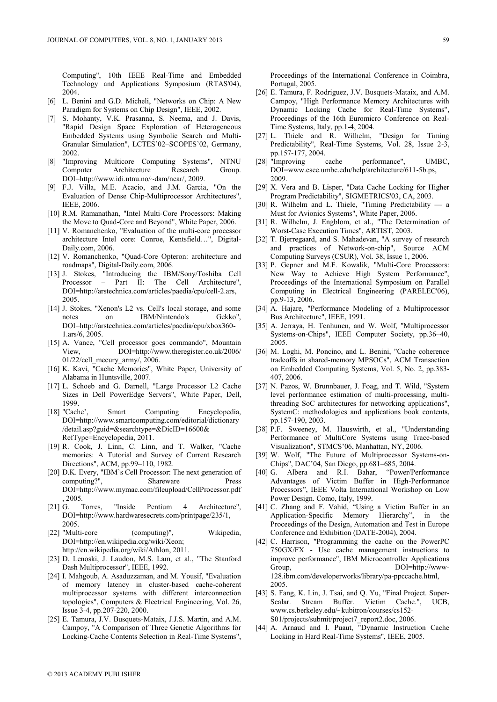Computing", 10th IEEE Real-Time and Embedded Technology and Applications Symposium (RTAS'04), 2004.

- [6] L. Benini and G.D. Micheli, "Networks on Chip: A New Paradigm for Systems on Chip Design", IEEE, 2002.
- [7] S. Mohanty, V.K. Prasanna, S. Neema, and J. Davis, "Rapid Design Space Exploration of Heterogeneous Embedded Systems using Symbolic Search and Multi-Granular Simulation", LCTES'02–SCOPES'02, Germany, 2002.
- [8] "Improving Multicore Computing Systems", NTNU Computer Architecture Research Group. DOI=http://www.idi.ntnu.no/~dam/ncar/, 2009.
- [9] F.J. Villa, M.E. Acacio, and J.M. Garcia, "On the Evaluation of Dense Chip-Multiprocessor Architectures", IEEE, 2006.
- [10] R.M. Ramanathan, "Intel Multi-Core Processors: Making the Move to Quad-Core and Beyond", White Paper, 2006.
- [11] V. Romanchenko, "Evaluation of the multi-core processor architecture Intel core: Conroe, Kentsfield…", Digital-Daily.com, 2006.
- [12] V. Romanchenko, "Quad-Core Opteron: architecture and roadmaps", Digital-Daily.com, 2006.
- [13] J. Stokes, "Introducing the IBM/Sony/Toshiba Cell Processor – Part II: The Cell Architecture", DOI=http://arstechnica.com/articles/paedia/cpu/cell-2.ars, 2005.
- [14] J. Stokes, "Xenon's L2 vs. Cell's local storage, and some notes on IBM/Nintendo's Gekko", DOI=http://arstechnica.com/articles/paedia/cpu/xbox360- 1.ars/6, 2005.
- [15] A. Vance, "Cell processor goes commando", Mountain View, DOI=http://www.theregister.co.uk/2006/ 01/22/cell\_mecury\_army/, 2006.
- [16] K. Kavi, "Cache Memories", White Paper, University of Alabama in Huntsville, 2007.
- [17] L. Schoeb and G. Darnell, "Large Processor L2 Cache Sizes in Dell PowerEdge Servers", White Paper, Dell, 1999.
- [18] "Cache', Smart Computing Encyclopedia, DOI=http://www.smartcomputing.com/editorial/dictionary /detail.asp?guid=&searchtype=&DicID=16600& RefType=Encyclopedia, 2011.
- [19] R. Cook, J. Linn, C. Linn, and T. Walker, "Cache memories: A Tutorial and Survey of Current Research Directions", ACM, pp.99–110, 1982.
- [20] D.K. Every, "IBM's Cell Processor: The next generation of computing?", Shareware Press DOI=http://www.mymac.com/fileupload/CellProcessor.pdf , 2005.
- [21] G. Torres, "Inside Pentium 4 Architecture", DOI=http://www.hardwaresecrets.com/printpage/235/1, 2005.
- [22] "Multi-core (computing)", Wikipedia, DOI=http://en.wikipedia.org/wiki/Xeon; http://en.wikipedia.org/wiki/Athlon, 2011.
- [23] D. Lenoski, J. Laudon, M.S. Lam, et al., "The Stanford Dash Multiprocessor", IEEE, 1992.
- [24] I. Mahgoub, A. Asaduzzaman, and M. Yousif, "Evaluation of memory latency in cluster-based cache-coherent multiprocessor systems with different interconnection topologies", Computers & Electrical Engineering, Vol. 26, Issue 3-4, pp.207-220, 2000.
- [25] E. Tamura, J.V. Busquets-Mataix, J.J.S. Martin, and A.M. Campoy, "A Comparison of Three Genetic Algorithms for Locking-Cache Contents Selection in Real-Time Systems",

Proceedings of the International Conference in Coimbra, Portugal, 2005.

- [26] E. Tamura, F. Rodriguez, J.V. Busquets-Mataix, and A.M. Campoy, "High Performance Memory Architectures with Dynamic Locking Cache for Real-Time Systems", Proceedings of the 16th Euromicro Conference on Real-Time Systems, Italy, pp.1-4, 2004.
- [27] L. Thiele and R. Wilhelm, "Design for Timing Predictability", Real-Time Systems, Vol. 28, Issue 2-3, pp.157-177, 2004.
- [28] "Improving cache performance", UMBC, DOI=www.csee.umbc.edu/help/architecture/611-5b.ps, 2009.
- [29] X. Vera and B. Lisper, "Data Cache Locking for Higher Program Predictability", SIGMETRICS'03, CA, 2003.
- [30] R. Wilhelm and L. Thiele, "Timing Predictability -Must for Avionics Systems", White Paper, 2006.
- [31] R. Wilhelm, J. Engblom, et al., "The Determination of Worst-Case Execution Times", ARTIST, 2003.
- [32] T. Bjerregaard, and S. Mahadevan, "A survey of research and practices of Network-on-chip", Source ACM Computing Surveys (CSUR), Vol. 38, Issue 1, 2006.
- [33] P. Gepner and M.F. Kowalik, "Multi-Core Processors: New Way to Achieve High System Performance", Proceedings of the International Symposium on Parallel Computing in Electrical Engineering (PARELEC'06), pp.9-13, 2006.
- [34] A. Hajare, "Performance Modeling of a Multiprocessor Bus Architecture", IEEE, 1991.
- [35] A. Jerraya, H. Tenhunen, and W. Wolf, "Multiprocessor Systems-on-Chips", IEEE Computer Society, pp.36–40, 2005.
- [36] M. Loghi, M. Poncino, and L. Benini, "Cache coherence tradeoffs in shared-memory MPSOCs", ACM Transaction on Embedded Computing Systems, Vol. 5, No. 2, pp.383- 407, 2006.
- [37] N. Pazos, W. Brunnbauer, J. Foag, and T. Wild, "System level performance estimation of multi-processing, multithreading SoC architectures for networking applications", SystemC: methodologies and applications book contents, pp.157-190, 2003.
- [38] P.F. Sweeney, M. Hauswirth, et al., "Understanding Performance of MultiCore Systems using Trace-based Visualization", STMCS'06, Manhattan, NY, 2006.
- [39] W. Wolf, "The Future of Multiprocessor Systems-on-Chips", DAC'04, San Diego, pp.681–685, 2004.
- [40] G. Albera and R.I. Bahar, "Power/Performance Advantages of Victim Buffer in High-Performance Processors", IEEE Volta International Workshop on Low Power Design. Como, Italy, 1999.
- [41] C. Zhang and F. Vahid, "Using a Victim Buffer in an Application-Specific Memory Hierarchy", in the Proceedings of the Design, Automation and Test in Europe Conference and Exhibition (DATE-2004), 2004.
- [42] C. Harrison, "Programming the cache on the PowerPC 750GX/FX - Use cache management instructions to improve performance", IBM Microcontroller Applications Group, DOI=http://www-128.ibm.com/developerworks/library/pa-ppccache.html, 2005.
- [43] S. Fang, K. Lin, J. Tsai, and Q. Yu, "Final Project. Super-Scalar. Stream Buffer. Victim Cache.", UCB, www.cs.berkeley.edu/~kubitron/courses/cs152- S01/projects/submit/project7\_report2.doc, 2006.
- [44] A. Arnaud and I. Puaut, "Dynamic Instruction Cache Locking in Hard Real-Time Systems", IEEE, 2005.